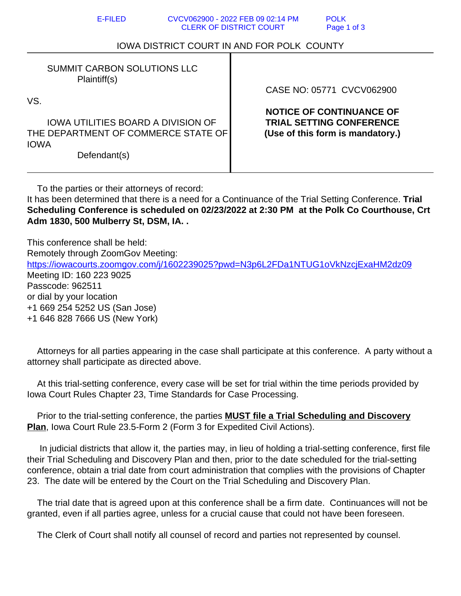| <b>E-FILED</b>                                                                                                                                                               | CVCV062900 - 2022 FEB 09 02:14 PM<br><b>CLERK OF DISTRICT COURT</b> | <b>POLK</b><br>Page 1 of 3                                                                                                          |
|------------------------------------------------------------------------------------------------------------------------------------------------------------------------------|---------------------------------------------------------------------|-------------------------------------------------------------------------------------------------------------------------------------|
| <b>IOWA DISTRICT COURT IN AND FOR POLK COUNTY</b>                                                                                                                            |                                                                     |                                                                                                                                     |
| <b>SUMMIT CARBON SOLUTIONS LLC</b><br>Plaintiff(s)<br>VS.<br><b>IOWA UTILITIES BOARD A DIVISION OF</b><br>THE DEPARTMENT OF COMMERCE STATE OF<br><b>IOWA</b><br>Defendant(s) |                                                                     | CASE NO: 05771 CVCV062900<br><b>NOTICE OF CONTINUANCE OF</b><br><b>TRIAL SETTING CONFERENCE</b><br>(Use of this form is mandatory.) |

To the parties or their attorneys of record:

It has been determined that there is a need for a Continuance of the Trial Setting Conference. **Trial Scheduling Conference is scheduled on 02/23/2022 at 2:30 PM at the Polk Co Courthouse, Crt Adm 1830, 500 Mulberry St, DSM, IA. .**

This conference shall be held: Remotely through ZoomGov Meeting: https://iowacourts.zoomgov.com/j/1602239025?pwd=N3p6L2FDa1NTUG1oVkNzcjExaHM2dz09 Meeting ID: 160 223 9025 Passcode: 962511 or dial by your location +1 669 254 5252 US (San Jose) +1 646 828 7666 US (New York)

 Attorneys for all parties appearing in the case shall participate at this conference. A party without a attorney shall participate as directed above.

 At this trial-setting conference, every case will be set for trial within the time periods provided by Iowa Court Rules Chapter 23, Time Standards for Case Processing.

 Prior to the trial-setting conference, the parties **MUST file a Trial Scheduling and Discovery Plan**, Iowa Court Rule 23.5-Form 2 (Form 3 for Expedited Civil Actions).

 In judicial districts that allow it, the parties may, in lieu of holding a trial-setting conference, first file their Trial Scheduling and Discovery Plan and then, prior to the date scheduled for the trial-setting conference, obtain a trial date from court administration that complies with the provisions of Chapter 23. The date will be entered by the Court on the Trial Scheduling and Discovery Plan.

 The trial date that is agreed upon at this conference shall be a firm date. Continuances will not be granted, even if all parties agree, unless for a crucial cause that could not have been foreseen.

The Clerk of Court shall notify all counsel of record and parties not represented by counsel.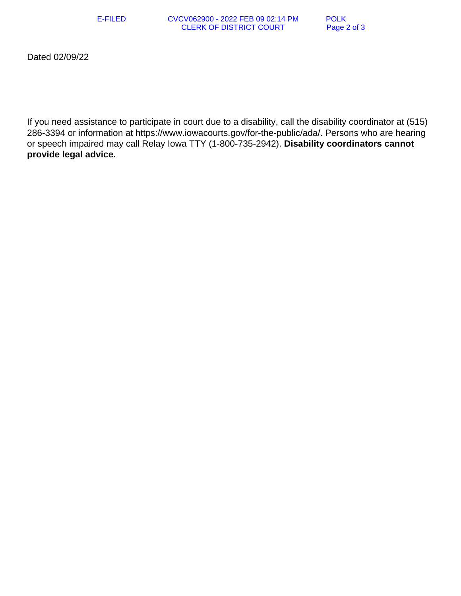E-FILED CVCV062900 - 2022 FEB 09 02:14 PM POLK<br>CLERK OF DISTRICT COURT Page 2 of 3 **CLERK OF DISTRICT COURT** 

Dated 02/09/22

If you need assistance to participate in court due to a disability, call the disability coordinator at (515) 286-3394 or information at https://www.iowacourts.gov/for-the-public/ada/. Persons who are hearing or speech impaired may call Relay Iowa TTY (1-800-735-2942). **Disability coordinators cannot provide legal advice.**